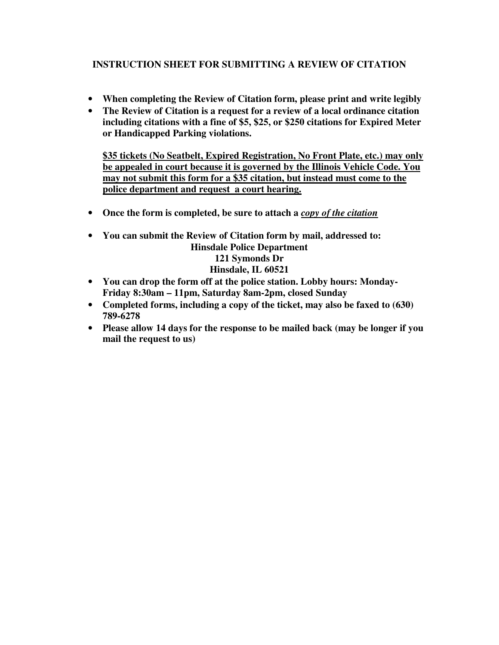## **INSTRUCTION SHEET FOR SUBMITTING A REVIEW OF CITATION**

- **When completing the Review of Citation form, please print and write legibly**
- **The Review of Citation is a request for a review of a local ordinance citation including citations with a fine of \$5, \$25, or \$250 citations for Expired Meter or Handicapped Parking violations.**

**\$35 tickets (No Seatbelt, Expired Registration, No Front Plate, etc.) may only be appealed in court because it is governed by the Illinois Vehicle Code. You may not submit this form for a \$35 citation, but instead must come to the police department and request a court hearing.**

- **Once the form is completed, be sure to attach a** *copy of the citation*
- **You can submit the Review of Citation form by mail, addressed to: Hinsdale Police Department 121 Symonds Dr Hinsdale, IL 60521**
- **You can drop the form off at the police station. Lobby hours: Monday-Friday 8:30am – 11pm, Saturday 8am-2pm, closed Sunday**
- **Completed forms, including a copy of the ticket, may also be faxed to (630) 789-6278**
- **Please allow 14 days for the response to be mailed back (may be longer if you mail the request to us)**